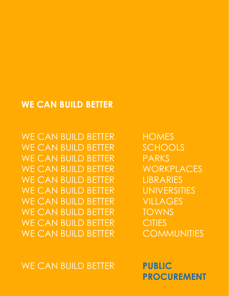# **WE CAN BUILD BETTER**

WE CAN BUILD BETTER HOMES WE CAN BUILD BETTER SCHOOLS WE CAN BUILD BETTER PARKS WE CAN BUILD BETTER WORKPLACES WE CAN BUILD BETTER LIBRARIES WE CAN BUILD BETTER UNIVERSITIES WE CAN BUILD BETTER VILLAGES WE CAN BUILD BETTER TOWNS WE CAN BUILD BETTER CITIES WE CAN BUILD BETTER COMMUNITIES

WE CAN BUILD BETTER **PUBLIC**

 **PROCUREMENT**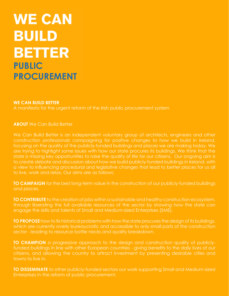# **WE CAN BUILD BETTER PUBLIC PROCUREMENT**

#### **WE CAN BUILD BETTER**

A manifesto for the urgent reform of the Irish public procurement system

**ABOUT** We Can Build Better

We Can Build Better is an independent voluntary group of architects, engineers and other construction professionals campaigning for positive changes to how we build in Ireland, focusing on the quality of the publicly-funded buildings and places we are making today. We are trying to highlight some issues with how our state procures its buildings. We think that the state is missing key opportunities to raise the quality of life for our citizens. Our ongoing aim is to create debate and discussion about how we build publicly-funded buildings in Ireland, with a view to influencing procedural and legislative changes that lead to better places for us all to live, work and relax. Our aims are as follows;

**TO CAMPAIGN** for the best long-term value in the construction of our publicly-funded buildings and places.

**TO CONTRIBUTE** to the creation of jobs within a sustainable and healthy construction ecosystem, through liberating the full available resources of the sector by showing how the state can engage the skills and talents of Small and Medium-sized Enterprises (SME).

**TO PROPOSE** how to fix historical problems with how the state procures the design of its buildings, which are currently overly bureaucratic and accessible to only small parts of the construction sector - leading to resource bottle necks and quality breakdown.

**TO CHAMPION** a progressive approach to the design and construction quality of publiclyfunded buildings in line with other European countries - giving benefits to the daily lives of our citizens, and allowing the country to attract investment by presenting desirable cities and towns to live in.

**TO DISSEMINATE** to other publicly-funded sectors our work supporting Small and Medium-sized Enterprises in the reform of public procurement.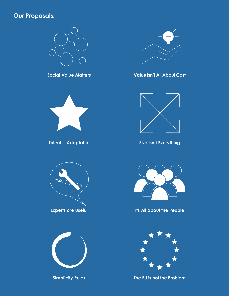## **Our Proposals:**











**Simplicity Rules The EU is not the Problem**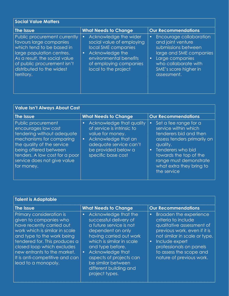| <b>Social Value Matters</b>                                                                                                                                                                                                  |                                                                                                                                                                                                    |                                                                                                                                                                                                                    |
|------------------------------------------------------------------------------------------------------------------------------------------------------------------------------------------------------------------------------|----------------------------------------------------------------------------------------------------------------------------------------------------------------------------------------------------|--------------------------------------------------------------------------------------------------------------------------------------------------------------------------------------------------------------------|
| The Issue                                                                                                                                                                                                                    | <b>What Needs to Change</b>                                                                                                                                                                        | <b>Our Recommendations</b>                                                                                                                                                                                         |
| Public procurement currently<br>favours large companies<br>which tend to be based in<br>large population centres.<br>As a result, the social value<br>of public procurement isn't<br>distributed to the widest<br>territory. | Acknowledge the wider<br>$\bullet$<br>social value of employing<br>local SME companies<br>Acknowledge the<br>$\bullet$<br>environmental benefits<br>of employing companies<br>local to the project | <b>Encourage collaboration</b><br>$\bullet$<br>and joint venture<br>submissions between<br>large and SME companies<br>Large companies<br>$\bullet$<br>who collaborate with<br>SME's score higher in<br>assessment. |

| <b>Value Isn't Always About Cost</b>                                                                                                                                                                                                      |                                                                                                                                                                                                    |                                                                                                                                                                                                                                                                  |
|-------------------------------------------------------------------------------------------------------------------------------------------------------------------------------------------------------------------------------------------|----------------------------------------------------------------------------------------------------------------------------------------------------------------------------------------------------|------------------------------------------------------------------------------------------------------------------------------------------------------------------------------------------------------------------------------------------------------------------|
| The Issue                                                                                                                                                                                                                                 | <b>What Needs to Change</b>                                                                                                                                                                        | <b>Our Recommendations</b>                                                                                                                                                                                                                                       |
| Public procurement<br>encourages low cost<br>tendering without adequate<br>mechanisms for comparing<br>the quality of the service<br>being offered between<br>tenders. A low cost for a poor<br>service does not give value<br>for money. | Acknowledge that quality<br>$\bullet$<br>of service is intrinsic to<br>value for money.<br>Acknowledge that an<br>$\bullet$<br>adequate service can't<br>be provided below a<br>specific base cost | Set a fee range for a<br>$\bullet$<br>service within which<br>tenderers bid and then<br>assess tenders primarily on<br>quality.<br>Tenderers who bid<br>$\bullet$<br>towards the top of the<br>range must demonstrate<br>what extra they bring to<br>the service |

| <b>Talent is Adaptable</b>                                                                                                                                                                                                                                                                             |                                                                                                                                                                                                                                                                                                                       |                                                                                                                                                                                                                                                                           |
|--------------------------------------------------------------------------------------------------------------------------------------------------------------------------------------------------------------------------------------------------------------------------------------------------------|-----------------------------------------------------------------------------------------------------------------------------------------------------------------------------------------------------------------------------------------------------------------------------------------------------------------------|---------------------------------------------------------------------------------------------------------------------------------------------------------------------------------------------------------------------------------------------------------------------------|
| The Issue                                                                                                                                                                                                                                                                                              | <b>What Needs to Change</b>                                                                                                                                                                                                                                                                                           | <b>Our Recommendations</b>                                                                                                                                                                                                                                                |
| Primary consideration is<br>given to companies who<br>have recently carried out<br>work which is similar in scale<br>and type to the work being<br>tendered for. This produces a<br>closed loop which excludes<br>new entrants to the market.<br>It is anti-competitive and can<br>lead to a monopoly. | Acknowledge that the<br>$\bullet$<br>successful delivery of<br>a future service is not<br>dependent on only<br>having carried out work<br>which is similar in scale<br>and type before.<br>Acknowledge that<br>$\bullet$<br>aspects of projects can<br>be similar between<br>different building and<br>project types. | Broaden the experience<br>$\bullet$<br>criteria to include<br>qualitative assessment of<br>previous work, even if it is<br>not similar in scale or type.<br>Include expert<br>$\bullet$<br>professionals on panels<br>to assess the scope and<br>nature of previous work. |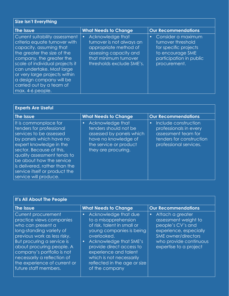| <b>Size Isn't Everything</b>                                                                                                                                                                                                                                                                                                       |                                                                                                                                                                     |                                                                                                                                               |
|------------------------------------------------------------------------------------------------------------------------------------------------------------------------------------------------------------------------------------------------------------------------------------------------------------------------------------|---------------------------------------------------------------------------------------------------------------------------------------------------------------------|-----------------------------------------------------------------------------------------------------------------------------------------------|
| The Issue                                                                                                                                                                                                                                                                                                                          | <b>What Needs to Change</b>                                                                                                                                         | <b>Our Recommendations</b>                                                                                                                    |
| Current suitability assessment<br>criteria equate turnover with<br>capacity, assuming that<br>the greater the size of the<br>company, the greater the<br>scale of individual projects it<br>can undertake. Most large<br>or very large projects within<br>a design company will be<br>carried out by a team of<br>max. 4-6 people. | Acknowledge that<br>$\bullet$<br>turnover is not always an<br>appropriate method of<br>assessing capacity and<br>that minimum turnover<br>thresholds exclude SME's. | Consider a maximum<br>$\bullet$<br>turnover threshold<br>for specific projects<br>to encourage SME<br>participation in public<br>procurement. |

| <b>Experts Are Useful</b>                                                                                                                                                                                                                                                                                            |                                                                                                                                                             |                                                                                                                                          |
|----------------------------------------------------------------------------------------------------------------------------------------------------------------------------------------------------------------------------------------------------------------------------------------------------------------------|-------------------------------------------------------------------------------------------------------------------------------------------------------------|------------------------------------------------------------------------------------------------------------------------------------------|
| The Issue                                                                                                                                                                                                                                                                                                            | <b>What Needs to Change</b>                                                                                                                                 | <b>Our Recommendations</b>                                                                                                               |
| It is commonplace for<br>tenders for professional<br>services to be assessed<br>by panels which have no<br>expert knowledge in the<br>sector. Because of this,<br>quality assessment tends to<br>be about how the service<br>is delivered, rather than the<br>service itself or product the<br>service will produce. | Acknowledge that<br>$\bullet$<br>tenders should not be<br>assessed by panels which<br>have no knowledge of<br>the service or product<br>they are procuring. | Include construction<br>$\bullet$<br>professionals in every<br>assessment team for<br>tenders for construction<br>professional services. |

| It's All About The People                                                                                                                                                                                                                                                                                         |                                                                                                                                                                                                                                                                                                  |                                                                                                                                                                                        |
|-------------------------------------------------------------------------------------------------------------------------------------------------------------------------------------------------------------------------------------------------------------------------------------------------------------------|--------------------------------------------------------------------------------------------------------------------------------------------------------------------------------------------------------------------------------------------------------------------------------------------------|----------------------------------------------------------------------------------------------------------------------------------------------------------------------------------------|
| The Issue                                                                                                                                                                                                                                                                                                         | <b>What Needs to Change</b>                                                                                                                                                                                                                                                                      | <b>Our Recommendations</b>                                                                                                                                                             |
| Current procurement<br>practice views companies<br>who can present a<br>long-standing variety of<br>previous work as less risky.<br>But procuring a service is<br>about procuring people. A<br>company's portfolio is not<br>necessarily a reflection of<br>the experience of current or<br>future staff members. | Acknowledge that due<br>to a misapprehension<br>of risk, talent in small or<br>young companies is being<br>overlooked.<br>Acknowledge that SME's<br>$\bullet$<br>provide direct access to<br>experience and talent<br>which is not necessarily<br>reflected in the age or size<br>of the company | Attach a greater<br>$\bullet$<br>assessment weight to<br>people's CV's and<br>experience, especially<br><b>SME</b> owner/directors<br>who provide continuous<br>expertise to a project |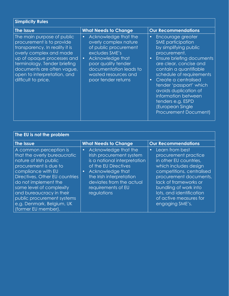| <b>Simplicity Rules</b>                                                                                                                                                                                                                                                |                                                                                                                                                                                                                                        |                                                                                                                                                                                                                                                                                                                                                                          |
|------------------------------------------------------------------------------------------------------------------------------------------------------------------------------------------------------------------------------------------------------------------------|----------------------------------------------------------------------------------------------------------------------------------------------------------------------------------------------------------------------------------------|--------------------------------------------------------------------------------------------------------------------------------------------------------------------------------------------------------------------------------------------------------------------------------------------------------------------------------------------------------------------------|
| The Issue                                                                                                                                                                                                                                                              | <b>What Needs to Change</b>                                                                                                                                                                                                            | <b>Our Recommendations</b>                                                                                                                                                                                                                                                                                                                                               |
| The main purpose of public<br>procurement is to provide<br>transparency. In reality it is<br>overly complex and made<br>up of opaque processes and<br>terminology. Tender briefing<br>documents are often vague,<br>open to interpretation, and<br>difficult to price. | Acknowledge that the<br>$\bullet$<br>overly complex nature<br>of public procurement<br>excludes SME's<br>Acknowledge that<br>$\bullet$<br>poor quality tender<br>documentation leads to<br>wasted resources and<br>poor tender returns | Encourage greater<br>SME participation<br>by simplifying public<br>procurement.<br>Ensure briefing documents<br>are clear, concise and<br>contain a quantifiable<br>schedule of requirements<br>Create a centralised<br>tender 'passport' which<br>avoids duplication of<br>information between<br>tenders e.g. ESPD<br>(European Single<br><b>Procurement Document)</b> |

| The EU is not the problem                                                                                                                                                                                                                                                                                                           |                                                                                                                                                                                                                                                     |                                                                                                                                                                                                                                                                                           |
|-------------------------------------------------------------------------------------------------------------------------------------------------------------------------------------------------------------------------------------------------------------------------------------------------------------------------------------|-----------------------------------------------------------------------------------------------------------------------------------------------------------------------------------------------------------------------------------------------------|-------------------------------------------------------------------------------------------------------------------------------------------------------------------------------------------------------------------------------------------------------------------------------------------|
| The Issue                                                                                                                                                                                                                                                                                                                           | <b>What Needs to Change</b>                                                                                                                                                                                                                         | <b>Our Recommendations</b>                                                                                                                                                                                                                                                                |
| A common perception is<br>that the overly bureaucratic<br>nature of Irish public<br>procurement is due to<br>compliance with EU<br>Directives. Other EU countries<br>do not implement the<br>same level of complexity<br>and bureaucracy in their<br>public procurement systems<br>e.g. Denmark, Belgium, UK<br>(former EU member). | Acknowledge that the<br>$\bullet$<br>Irish procurement system<br>is a national interpretation<br>of the EU Directives<br>Acknowledge that<br>$\bullet$<br>the Irish interpretation<br>deviates from the actual<br>requirements of EU<br>regulations | Learn from best<br>$\bullet$<br>procurement practice<br>in other EU countries,<br>which includes design<br>competitions, centralised<br>procurement documents,<br>lack of frameworks or<br>bundling of work into<br>lots, and identification<br>of active measures for<br>engaging SME's. |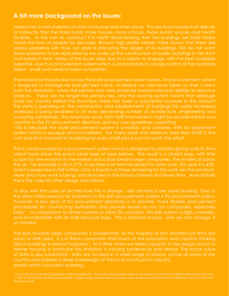### **A bit more background on the issues:**

Ireland has a well understood crisis in housing and other areas. The solutions require that directly or indirectly that the state builds more houses, more schools, more public spaces and health facilities. In this rush to construct it is worth remembering that the buildings we build today frame the lives of people for decades. Recent high profile failures have shown that there are serious problems with how our state is procuring the design of its buildings. We do not want these problems to be replicated as we scale up the construction of public buildings in the short and medium term. Many of the issues arise due to a failure to engage with the best available expertise, due to a procurement system which us inaccessible to a large portion of the available talent - small and medium sized companies.

The reasons for this are due to how the state procurement system works. Any procurement system is designed to manage risk and get best value. In Ireland our rules have taken on their current from the downturn - when the primary risks were potential insolvencies and abilities to resource projects. These are no longer the primary risks, and the existing system means that although since our country exited the downturn there has been a substantial increase in the amount the state is spending on the construction and refurbishment of buildings this vastly increased workload is being awarded to an ever decreasing number of architecture, engineering and surveying companies. This emphasis away from SME involvement might be accidental but runs counter to the EU procurement directive, and our own guidelines supporting

 This is because the state procurement system is unwieldy and complex, with an assessment system which is opaque and inconsistent. For many small and medium sized firms (SME's) the cost and time involved in tendering for even small jobs is just not worth the effort.

This is compounded by a procurement system which is designed to prioritise giving work to firms which have done the exact same type of work before. The result is a closed loop, with little scope for new entrants to the market and a bias toward larger companies. The evidence backs this up - for example in 2016 51% of architecture firms tendered for state work, this year it is 42%, and it is projected to fall further. Only a fraction of those tendering for the work win the contract. More and more work is being concentrated in the hands of fewer and fewer firms. Anecdotally this is the case for other design specialisms.

To stay with the case of architecture this is strange - Irish architects are world leading. One of the often-cited reasons for problems in the Irish procurement system is EU procurement policy. However, a key goal of EU procurement directives is to provide 'more flexible procurement procedures for contracting authorities and provide easier access for companies, especially SMEs'1 . In comparison to similar systems in other EU countries, the Irish system is rigid, unwieldy, and incompatible with an SME resource base. This a national choice - one we can change, if so minded.

The bias towards large companies is problematic as the majority of Irish Architecture firms are micro or SME sized. It is in these companies that much of the innovation and creative thinking about buildings in Ireland happens. $^2$  At a time when we need capacity in the design sector to deliver housing in particular this limitation is causing bottlenecks and delays. The social value of SMEs is also substantial - SMEs are located in a wide range of places, across all areas of the country and present a deep knowledge of the local construction industry. quality within our public buildings.

<sup>1.</sup> EU Public Procurement Legislation: Delivering Results - Summary of Evaluation Report, European Commission Internal Market and Services 2. 75% of awards for architectural quality, judged under peer review processes have been awarded to firms classified as micro or SME over the last 5 years